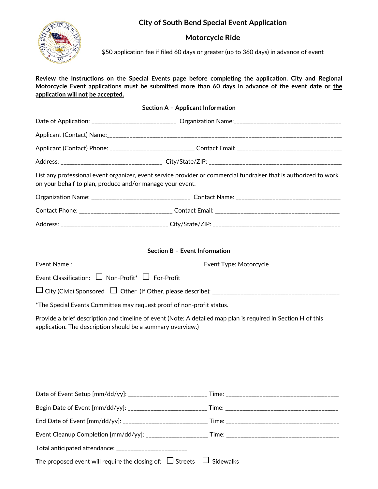# **City of South Bend Special Event Application**



# **Motorcycle Ride**

\$50 application fee if filed 60 days or greater (up to 360 days) in advance of event

**Review the Instructions on the Special Events page before completing the application. City and Regional**  Motorcycle Event applications must be submitted more than 60 days in advance of the event date or the **application will not be accepted.** 

#### **Section A – Applicant Information**

|                                                                                                                                                                                | Applicant (Contact) Phone: ________________________________ Contact Email: ___________________________________ |  |  |  |
|--------------------------------------------------------------------------------------------------------------------------------------------------------------------------------|----------------------------------------------------------------------------------------------------------------|--|--|--|
|                                                                                                                                                                                |                                                                                                                |  |  |  |
| List any professional event organizer, event service provider or commercial fundraiser that is authorized to work<br>on your behalf to plan, produce and/or manage your event. |                                                                                                                |  |  |  |
|                                                                                                                                                                                |                                                                                                                |  |  |  |
|                                                                                                                                                                                |                                                                                                                |  |  |  |
|                                                                                                                                                                                |                                                                                                                |  |  |  |
| Section B - Event Information                                                                                                                                                  |                                                                                                                |  |  |  |
|                                                                                                                                                                                | Event Type: Motorcycle                                                                                         |  |  |  |

Event Classification:  $\Box$  Non-Profit\*  $\Box$  For-Profit

City (Civic) Sponsored Other (If Other, please describe): \_\_\_\_\_\_\_\_\_\_\_\_\_\_\_\_\_\_\_\_\_\_\_\_\_\_\_\_\_\_\_\_\_\_\_\_\_\_\_\_\_\_\_\_\_

\*The Special Events Committee may request proof of non-profit status.

Provide a brief description and timeline of event (Note: A detailed map plan is required in Section H of this application. The description should be a summary overview.)

| Total anticipated attendance: _________________________                         |  |
|---------------------------------------------------------------------------------|--|
| The proposed event will require the closing of: $\Box$ Streets $\Box$ Sidewalks |  |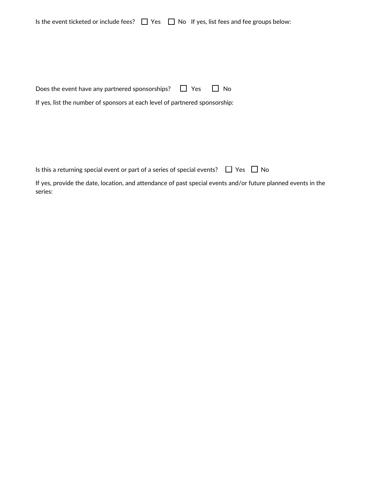| Is the event ticketed or include fees? $\Box$ Yes $\Box$ No If yes, list fees and fee groups below: |  |  |  |
|-----------------------------------------------------------------------------------------------------|--|--|--|
|-----------------------------------------------------------------------------------------------------|--|--|--|

| Does the event have any partnered sponsorships? $\Box$ Yes $\Box$ No |  |  |
|----------------------------------------------------------------------|--|--|
|----------------------------------------------------------------------|--|--|

If yes, list the number of sponsors at each level of partnered sponsorship:

Is this a returning special event or part of a series of special events?  $\Box$  Yes  $\Box$  No

If yes, provide the date, location, and attendance of past special events and/or future planned events in the series: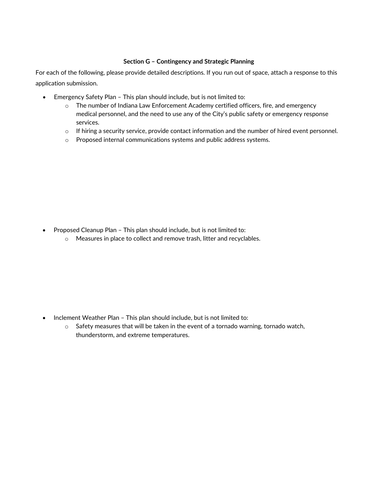#### **Section G – Contingency and Strategic Planning**

For each of the following, please provide detailed descriptions. If you run out of space, attach a response to this application submission.

- Emergency Safety Plan This plan should include, but is not limited to:
	- $\circ$  The number of Indiana Law Enforcement Academy certified officers, fire, and emergency medical personnel, and the need to use any of the City's public safety or emergency response services.
	- $\circ$  If hiring a security service, provide contact information and the number of hired event personnel.
	- o Proposed internal communications systems and public address systems.

- Proposed Cleanup Plan This plan should include, but is not limited to:
	- o Measures in place to collect and remove trash, litter and recyclables.

- Inclement Weather Plan This plan should include, but is not limited to:
	- $\circ$  Safety measures that will be taken in the event of a tornado warning, tornado watch, thunderstorm, and extreme temperatures.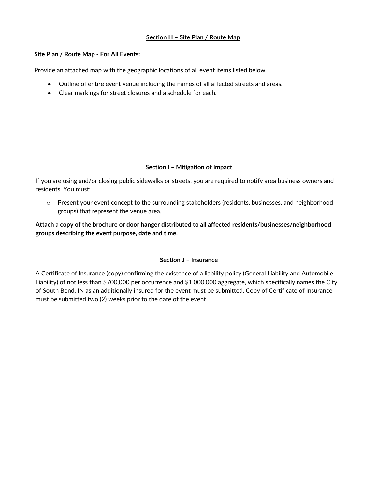### **Section H – Site Plan / Route Map**

#### **Site Plan / Route Map - For All Events:**

Provide an attached map with the geographic locations of all event items listed below.

- Outline of entire event venue including the names of all affected streets and areas.
- Clear markings for street closures and a schedule for each.

#### **Section I – Mitigation of Impact**

If you are using and/or closing public sidewalks or streets, you are required to notify area business owners and residents. You must:

 $\circ$  Present your event concept to the surrounding stakeholders (residents, businesses, and neighborhood groups) that represent the venue area.

**Attach** a **copy of the brochure or door hanger distributed to all affected residents/businesses/neighborhood groups describing the event purpose, date and time.**

## **Section J – Insurance**

A Certificate of Insurance (copy) confirming the existence of a liability policy (General Liability and Automobile Liability) of not less than \$700,000 per occurrence and \$1,000,000 aggregate, which specifically names the City of South Bend, IN as an additionally insured for the event must be submitted. Copy of Certificate of Insurance must be submitted two (2) weeks prior to the date of the event.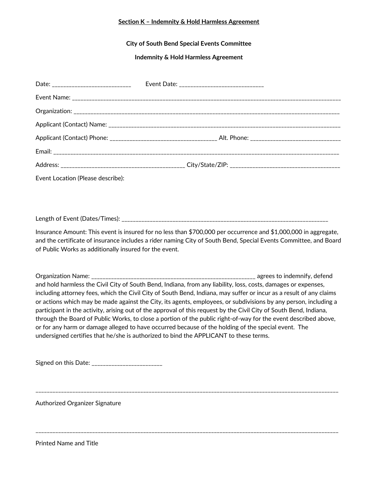#### **Section K – Indemnity & Hold Harmless Agreement**

**City of South Bend Special Events Committee**

**Indemnity & Hold Harmless Agreement**

| Date: _______________________________ |  |
|---------------------------------------|--|
|                                       |  |
|                                       |  |
|                                       |  |
|                                       |  |
|                                       |  |
|                                       |  |

Event Location (Please describe):

Length of Event (Dates/Times): \_\_\_\_\_\_\_\_\_\_\_\_\_\_\_\_\_\_\_\_\_\_\_\_\_\_\_\_\_\_\_\_\_\_\_\_\_\_\_\_\_\_\_\_\_\_\_\_\_\_\_\_\_\_\_\_\_\_\_\_\_\_\_\_\_\_\_\_\_\_\_\_\_

Insurance Amount: This event is insured for no less than \$700,000 per occurrence and \$1,000,000 in aggregate, and the certificate of insurance includes a rider naming City of South Bend, Special Events Committee, and Board of Public Works as additionally insured for the event.

Organization Name: \_\_\_\_\_\_\_\_\_\_\_\_\_\_\_\_\_\_\_\_\_\_\_\_\_\_\_\_\_\_\_\_\_\_\_\_\_\_\_\_\_\_\_\_\_\_\_\_\_\_\_\_\_\_\_\_\_\_ agrees to indemnify, defend and hold harmless the Civil City of South Bend, Indiana, from any liability, loss, costs, damages or expenses, including attorney fees, which the Civil City of South Bend, Indiana, may suffer or incur as a result of any claims or actions which may be made against the City, its agents, employees, or subdivisions by any person, including a participant in the activity, arising out of the approval of this request by the Civil City of South Bend, Indiana, through the Board of Public Works, to close a portion of the public right-of-way for the event described above, or for any harm or damage alleged to have occurred because of the holding of the special event. The undersigned certifies that he/she is authorized to bind the APPLICANT to these terms.

\_\_\_\_\_\_\_\_\_\_\_\_\_\_\_\_\_\_\_\_\_\_\_\_\_\_\_\_\_\_\_\_\_\_\_\_\_\_\_\_\_\_\_\_\_\_\_\_\_\_\_\_\_\_\_\_\_\_\_\_\_\_\_\_\_\_\_\_\_\_\_\_\_\_\_\_\_\_\_\_\_\_\_\_\_\_\_\_\_\_\_\_\_\_\_\_\_\_\_\_\_\_\_\_\_\_\_

\_\_\_\_\_\_\_\_\_\_\_\_\_\_\_\_\_\_\_\_\_\_\_\_\_\_\_\_\_\_\_\_\_\_\_\_\_\_\_\_\_\_\_\_\_\_\_\_\_\_\_\_\_\_\_\_\_\_\_\_\_\_\_\_\_\_\_\_\_\_\_\_\_\_\_\_\_\_\_\_\_\_\_\_\_\_\_\_\_\_\_\_\_\_\_\_\_\_\_\_\_\_\_\_\_\_\_

Signed on this Date: \_\_\_\_\_\_\_\_\_\_\_\_\_\_\_\_\_\_\_\_\_\_\_\_\_

Authorized Organizer Signature

Printed Name and Title